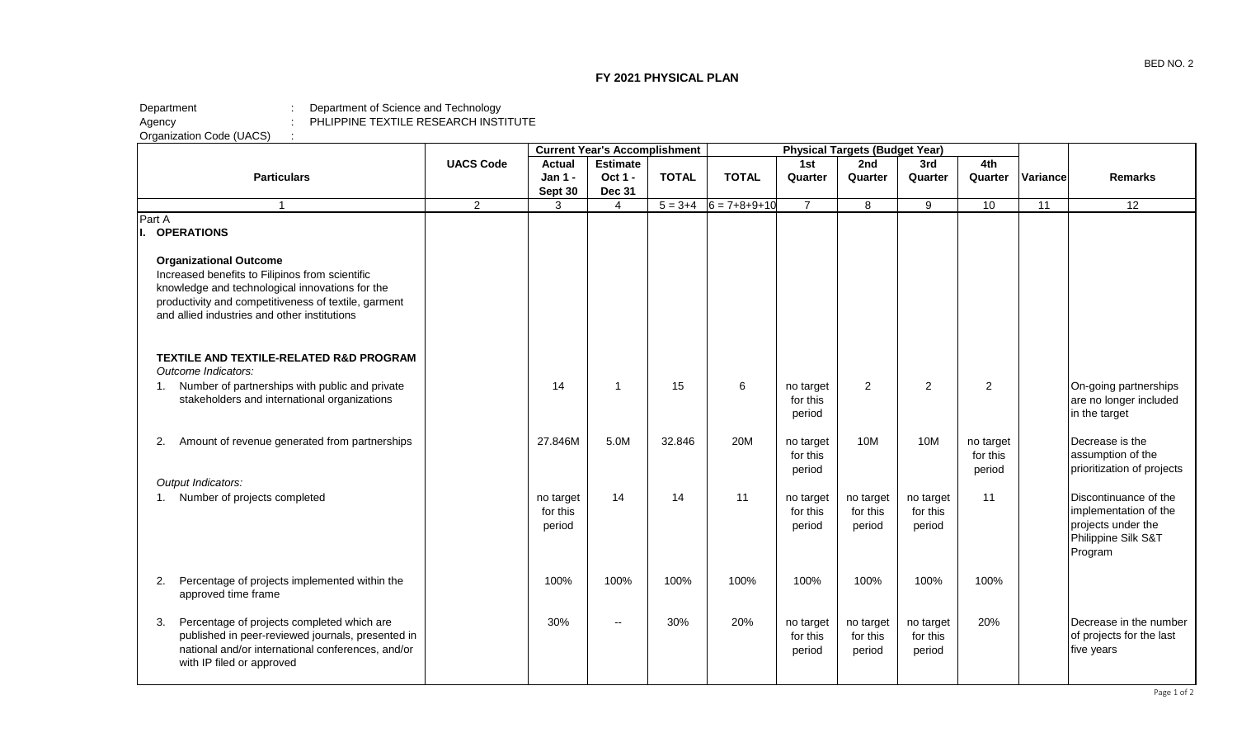## **FY 2021 PHYSICAL PLAN**

## Department : Department of Science and Technology Agency **Example 2** : PHLIPPINE TEXTILE RESEARCH INSTITUTE Agency :<br>Organization Code (UACS) :

|                                                                                                                                                                                                                                             |                  |                                 | <b>Current Year's Accomplishment</b> |              |                      |                                 | <b>Physical Targets (Budget Year)</b> |                                 |                                 |          |                                                                                                        |
|---------------------------------------------------------------------------------------------------------------------------------------------------------------------------------------------------------------------------------------------|------------------|---------------------------------|--------------------------------------|--------------|----------------------|---------------------------------|---------------------------------------|---------------------------------|---------------------------------|----------|--------------------------------------------------------------------------------------------------------|
|                                                                                                                                                                                                                                             | <b>UACS Code</b> | <b>Actual</b>                   | <b>Estimate</b>                      |              |                      | 1st                             | 2nd                                   | 3rd                             | 4th                             |          |                                                                                                        |
| <b>Particulars</b>                                                                                                                                                                                                                          |                  | Jan 1 -<br>Sept 30              | Oct 1 -<br><b>Dec 31</b>             | <b>TOTAL</b> | <b>TOTAL</b>         | Quarter                         | Quarter                               | Quarter                         | Quarter                         | Variance | <b>Remarks</b>                                                                                         |
| $\overline{1}$                                                                                                                                                                                                                              | $\overline{2}$   | 3                               | $\overline{4}$                       | $5 = 3 + 4$  | $6 = 7 + 8 + 9 + 10$ | $\overline{7}$                  | 8                                     | 9                               | 10                              | 11       | 12                                                                                                     |
| Part A<br>I. OPERATIONS                                                                                                                                                                                                                     |                  |                                 |                                      |              |                      |                                 |                                       |                                 |                                 |          |                                                                                                        |
| <b>Organizational Outcome</b><br>Increased benefits to Filipinos from scientific<br>knowledge and technological innovations for the<br>productivity and competitiveness of textile, garment<br>and allied industries and other institutions |                  |                                 |                                      |              |                      |                                 |                                       |                                 |                                 |          |                                                                                                        |
| TEXTILE AND TEXTILE-RELATED R&D PROGRAM<br>Outcome Indicators:                                                                                                                                                                              |                  |                                 |                                      |              |                      |                                 |                                       |                                 |                                 |          |                                                                                                        |
| 1. Number of partnerships with public and private<br>stakeholders and international organizations                                                                                                                                           |                  | 14                              | 1                                    | 15           | 6                    | no target<br>for this<br>period | $\overline{2}$                        | $\overline{2}$                  | $\overline{2}$                  |          | On-going partnerships<br>are no longer included<br>in the target                                       |
| Amount of revenue generated from partnerships<br>2.                                                                                                                                                                                         |                  | 27.846M                         | 5.0M                                 | 32.846       | 20M                  | no target<br>for this<br>period | 10M                                   | 10M                             | no target<br>for this<br>period |          | Decrease is the<br>assumption of the<br>prioritization of projects                                     |
| Output Indicators:                                                                                                                                                                                                                          |                  |                                 |                                      |              |                      |                                 |                                       |                                 |                                 |          |                                                                                                        |
| 1. Number of projects completed                                                                                                                                                                                                             |                  | no target<br>for this<br>period | 14                                   | 14           | 11                   | no target<br>for this<br>period | no target<br>for this<br>period       | no target<br>for this<br>period | 11                              |          | Discontinuance of the<br>implementation of the<br>projects under the<br>Philippine Silk S&T<br>Program |
| Percentage of projects implemented within the<br>2.<br>approved time frame                                                                                                                                                                  |                  | 100%                            | 100%                                 | 100%         | 100%                 | 100%                            | 100%                                  | 100%                            | 100%                            |          |                                                                                                        |
| Percentage of projects completed which are<br>3.<br>published in peer-reviewed journals, presented in<br>national and/or international conferences, and/or<br>with IP filed or approved                                                     |                  | 30%                             | ۰.                                   | 30%          | 20%                  | no target<br>for this<br>period | no target<br>for this<br>period       | no target<br>for this<br>period | 20%                             |          | Decrease in the number<br>of projects for the last<br>five years                                       |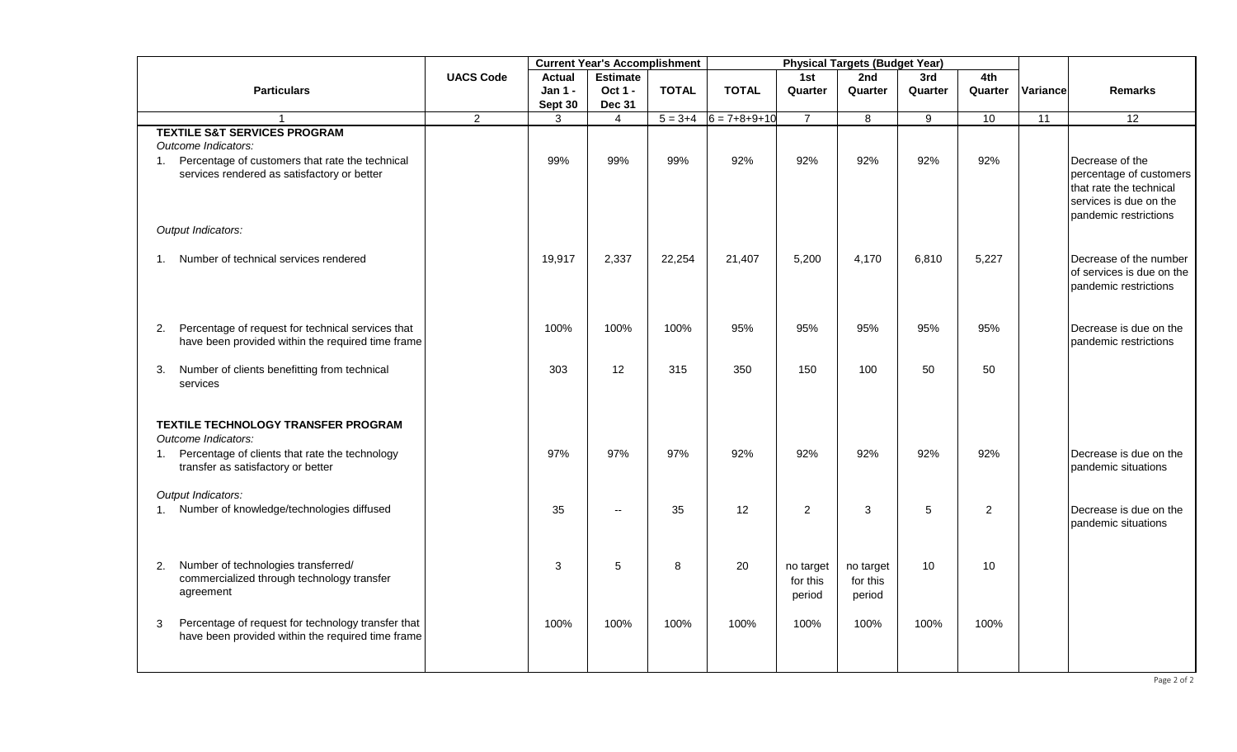|                                                         |                  | <b>Current Year's Accomplishment</b> |                |              | <b>Physical Targets (Budget Year)</b> |                       |           |         |                |          |                           |  |
|---------------------------------------------------------|------------------|--------------------------------------|----------------|--------------|---------------------------------------|-----------------------|-----------|---------|----------------|----------|---------------------------|--|
|                                                         | <b>UACS Code</b> | <b>Estimate</b><br><b>Actual</b>     |                |              |                                       | 1st                   | 2nd       | 3rd     | 4th            |          |                           |  |
| <b>Particulars</b>                                      |                  | Jan 1 -                              | Oct 1 -        | <b>TOTAL</b> | <b>TOTAL</b>                          | Quarter               | Quarter   | Quarter | Quarter        | Variance | <b>Remarks</b>            |  |
|                                                         |                  | Sept 30                              | <b>Dec 31</b>  |              |                                       |                       |           |         |                |          |                           |  |
| $\mathbf{1}$                                            | 2 <sup>1</sup>   | 3                                    | $\overline{4}$ | $5 = 3 + 4$  | $6 = 7 + 8 + 9 + 10$                  | $\overline{7}$        | 8         | 9       | 10             | 11       | 12                        |  |
| <b>TEXTILE S&amp;T SERVICES PROGRAM</b>                 |                  |                                      |                |              |                                       |                       |           |         |                |          |                           |  |
| Outcome Indicators:                                     |                  |                                      |                |              |                                       |                       |           |         |                |          |                           |  |
| 1. Percentage of customers that rate the technical      |                  | 99%                                  | 99%            | 99%          | 92%                                   | 92%                   | 92%       | 92%     | 92%            |          | Decrease of the           |  |
| services rendered as satisfactory or better             |                  |                                      |                |              |                                       |                       |           |         |                |          | percentage of customers   |  |
|                                                         |                  |                                      |                |              |                                       |                       |           |         |                |          | that rate the technical   |  |
|                                                         |                  |                                      |                |              |                                       |                       |           |         |                |          | services is due on the    |  |
| Output Indicators:                                      |                  |                                      |                |              |                                       |                       |           |         |                |          | pandemic restrictions     |  |
|                                                         |                  |                                      |                |              |                                       |                       |           |         |                |          |                           |  |
| 1. Number of technical services rendered                |                  | 19,917                               | 2,337          | 22,254       | 21,407                                | 5,200                 | 4,170     | 6,810   | 5,227          |          | Decrease of the number    |  |
|                                                         |                  |                                      |                |              |                                       |                       |           |         |                |          | of services is due on the |  |
|                                                         |                  |                                      |                |              |                                       |                       |           |         |                |          | pandemic restrictions     |  |
|                                                         |                  |                                      |                |              |                                       |                       |           |         |                |          |                           |  |
| 2. Percentage of request for technical services that    |                  | 100%                                 | 100%           | 100%         | 95%                                   | 95%                   | 95%       | 95%     | 95%            |          | Decrease is due on the    |  |
| have been provided within the required time frame       |                  |                                      |                |              |                                       |                       |           |         |                |          | pandemic restrictions     |  |
| Number of clients benefitting from technical<br>3.      |                  | 303                                  | 12             | 315          | 350                                   | 150                   | 100       | 50      | 50             |          |                           |  |
| services                                                |                  |                                      |                |              |                                       |                       |           |         |                |          |                           |  |
| TEXTILE TECHNOLOGY TRANSFER PROGRAM                     |                  |                                      |                |              |                                       |                       |           |         |                |          |                           |  |
| Outcome Indicators:                                     |                  |                                      |                |              |                                       |                       |           |         |                |          |                           |  |
| 1. Percentage of clients that rate the technology       |                  | 97%                                  | 97%            | 97%          | 92%                                   | 92%                   | 92%       | 92%     | 92%            |          | Decrease is due on the    |  |
| transfer as satisfactory or better                      |                  |                                      |                |              |                                       |                       |           |         |                |          | pandemic situations       |  |
| Output Indicators:                                      |                  |                                      |                |              |                                       |                       |           |         |                |          |                           |  |
| 1. Number of knowledge/technologies diffused            |                  | 35                                   | $\overline{a}$ | 35           | 12                                    | $\overline{2}$        | 3         | 5       | $\overline{2}$ |          | Decrease is due on the    |  |
|                                                         |                  |                                      |                |              |                                       |                       |           |         |                |          | pandemic situations       |  |
|                                                         |                  |                                      |                |              |                                       |                       |           |         |                |          |                           |  |
| Number of technologies transferred/<br>2.               |                  | 3                                    | 5              | 8            | 20                                    |                       | no target | 10      | 10             |          |                           |  |
| commercialized through technology transfer              |                  |                                      |                |              |                                       | no target<br>for this | for this  |         |                |          |                           |  |
| agreement                                               |                  |                                      |                |              |                                       | period                | period    |         |                |          |                           |  |
|                                                         |                  |                                      |                |              |                                       |                       |           |         |                |          |                           |  |
| Percentage of request for technology transfer that<br>3 |                  | 100%                                 | 100%           | 100%         | 100%                                  | 100%                  | 100%      | 100%    | 100%           |          |                           |  |
| have been provided within the required time frame       |                  |                                      |                |              |                                       |                       |           |         |                |          |                           |  |
|                                                         |                  |                                      |                |              |                                       |                       |           |         |                |          |                           |  |
|                                                         |                  |                                      |                |              |                                       |                       |           |         |                |          |                           |  |
|                                                         |                  |                                      |                |              |                                       |                       |           |         |                |          | Page 2 of 2               |  |